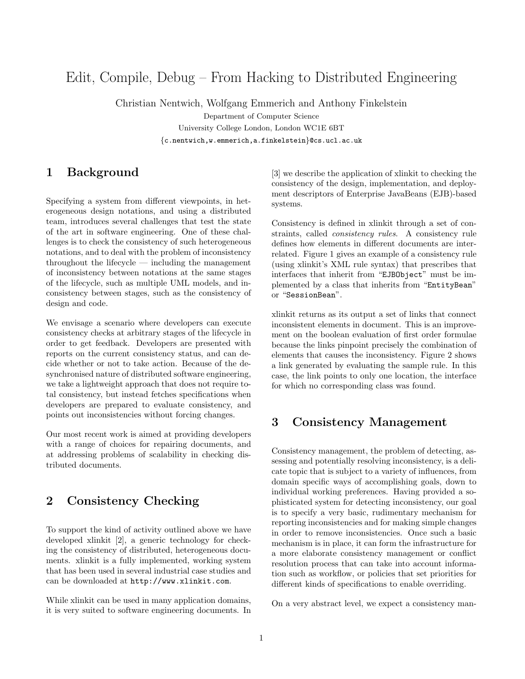# Edit, Compile, Debug – From Hacking to Distributed Engineering

Christian Nentwich, Wolfgang Emmerich and Anthony Finkelstein

Department of Computer Science University College London, London WC1E 6BT {c.nentwich,w.emmerich,a.finkelstein}@cs.ucl.ac.uk

### 1 Background

Specifying a system from different viewpoints, in heterogeneous design notations, and using a distributed team, introduces several challenges that test the state of the art in software engineering. One of these challenges is to check the consistency of such heterogeneous notations, and to deal with the problem of inconsistency throughout the lifecycle — including the management of inconsistency between notations at the same stages of the lifecycle, such as multiple UML models, and inconsistency between stages, such as the consistency of design and code.

We envisage a scenario where developers can execute consistency checks at arbitrary stages of the lifecycle in order to get feedback. Developers are presented with reports on the current consistency status, and can decide whether or not to take action. Because of the desynchronised nature of distributed software engineering, we take a lightweight approach that does not require total consistency, but instead fetches specifications when developers are prepared to evaluate consistency, and points out inconsistencies without forcing changes.

Our most recent work is aimed at providing developers with a range of choices for repairing documents, and at addressing problems of scalability in checking distributed documents.

## 2 Consistency Checking

To support the kind of activity outlined above we have developed xlinkit [2], a generic technology for checking the consistency of distributed, heterogeneous documents. xlinkit is a fully implemented, working system that has been used in several industrial case studies and can be downloaded at http://www.xlinkit.com.

While xlinkit can be used in many application domains, it is very suited to software engineering documents. In

[3] we describe the application of xlinkit to checking the consistency of the design, implementation, and deployment descriptors of Enterprise JavaBeans (EJB)-based systems.

Consistency is defined in xlinkit through a set of constraints, called consistency rules. A consistency rule defines how elements in different documents are interrelated. Figure 1 gives an example of a consistency rule (using xlinkit's XML rule syntax) that prescribes that interfaces that inherit from "EJBObject" must be implemented by a class that inherits from "EntityBean" or "SessionBean".

xlinkit returns as its output a set of links that connect inconsistent elements in document. This is an improvement on the boolean evaluation of first order formulae because the links pinpoint precisely the combination of elements that causes the inconsistency. Figure 2 shows a link generated by evaluating the sample rule. In this case, the link points to only one location, the interface for which no corresponding class was found.

### 3 Consistency Management

Consistency management, the problem of detecting, assessing and potentially resolving inconsistency, is a delicate topic that is subject to a variety of influences, from domain specific ways of accomplishing goals, down to individual working preferences. Having provided a sophisticated system for detecting inconsistency, our goal is to specify a very basic, rudimentary mechanism for reporting inconsistencies and for making simple changes in order to remove inconsistencies. Once such a basic mechanism is in place, it can form the infrastructure for a more elaborate consistency management or conflict resolution process that can take into account information such as workflow, or policies that set priorities for different kinds of specifications to enable overriding.

On a very abstract level, we expect a consistency man-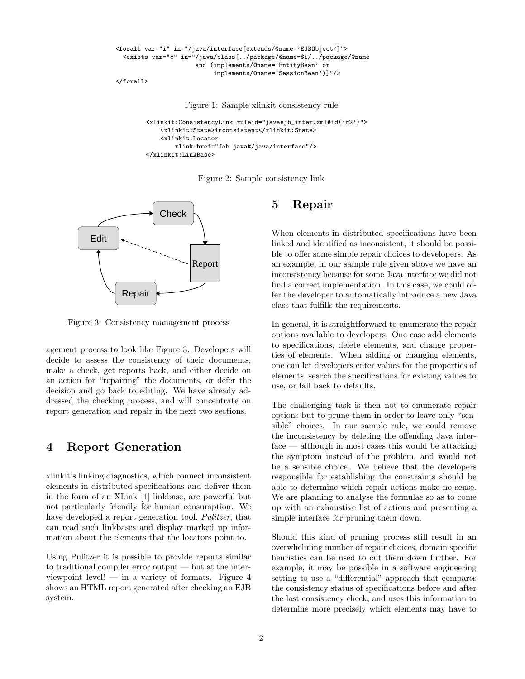```
<forall var="i" in="/java/interface[extends/@name='EJBObject']">
 <exists var="c" in="/java/class[../package/@name=$i/../package/@name
                      and (implements/@name='EntityBean' or
                           implements/@name='SessionBean')]"/>
```
</forall>

Figure 1: Sample xlinkit consistency rule

```
<xlinkit:ConsistencyLink ruleid="javaejb_inter.xml#id('r2')">
    <xlinkit:State>inconsistent</xlinkit:State>
    <xlinkit:Locator
        xlink:href="Job.java#/java/interface"/>
</xlinkit:LinkBase>
```
Figure 2: Sample consistency link



Figure 3: Consistency management process

agement process to look like Figure 3. Developers will decide to assess the consistency of their documents, make a check, get reports back, and either decide on an action for "repairing" the documents, or defer the decision and go back to editing. We have already addressed the checking process, and will concentrate on report generation and repair in the next two sections.

#### 4 Report Generation

xlinkit's linking diagnostics, which connect inconsistent elements in distributed specifications and deliver them in the form of an XLink [1] linkbase, are powerful but not particularly friendly for human consumption. We have developed a report generation tool, Pulitzer, that can read such linkbases and display marked up information about the elements that the locators point to.

Using Pulitzer it is possible to provide reports similar to traditional compiler error output — but at the interviewpoint level! — in a variety of formats. Figure  $4$ shows an HTML report generated after checking an EJB system.

### 5 Repair

When elements in distributed specifications have been linked and identified as inconsistent, it should be possible to offer some simple repair choices to developers. As an example, in our sample rule given above we have an inconsistency because for some Java interface we did not find a correct implementation. In this case, we could offer the developer to automatically introduce a new Java class that fulfills the requirements.

In general, it is straightforward to enumerate the repair options available to developers. One case add elements to specifications, delete elements, and change properties of elements. When adding or changing elements, one can let developers enter values for the properties of elements, search the specifications for existing values to use, or fall back to defaults.

The challenging task is then not to enumerate repair options but to prune them in order to leave only "sensible" choices. In our sample rule, we could remove the inconsistency by deleting the offending Java interface — although in most cases this would be attacking the symptom instead of the problem, and would not be a sensible choice. We believe that the developers responsible for establishing the constraints should be able to determine which repair actions make no sense. We are planning to analyse the formulae so as to come up with an exhaustive list of actions and presenting a simple interface for pruning them down.

Should this kind of pruning process still result in an overwhelming number of repair choices, domain specific heuristics can be used to cut them down further. For example, it may be possible in a software engineering setting to use a "differential" approach that compares the consistency status of specifications before and after the last consistency check, and uses this information to determine more precisely which elements may have to